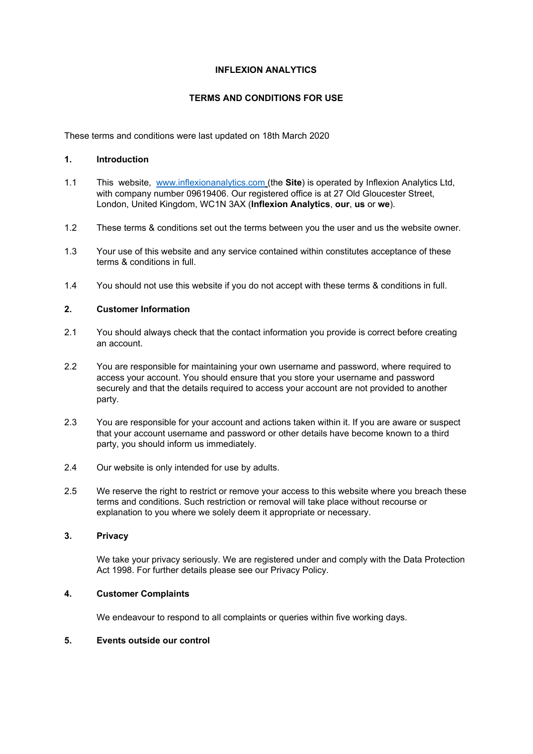# **INFLEXION ANALYTICS**

# **TERMS AND CONDITIONS FOR USE**

These terms and conditions were last updated on 18th March 2020

### **1. Introduction**

- 1.1 This website, [www.inflexionanalytics.com](http://www.inflexionanalytics.com/) (the **Site**) is operated by Inflexion Analytics Ltd, with company number 09619406. Our registered office is at 27 Old Gloucester Street, London, United Kingdom, WC1N 3AX (**Inflexion Analytics**, **our**, **us** or **we**).
- 1.2 These terms & conditions set out the terms between you the user and us the website owner.
- 1.3 Your use of this website and any service contained within constitutes acceptance of these terms & conditions in full.
- 1.4 You should not use this website if you do not accept with these terms & conditions in full.

# **2. Customer Information**

- 2.1 You should always check that the contact information you provide is correct before creating an account.
- 2.2 You are responsible for maintaining your own username and password, where required to access your account. You should ensure that you store your username and password securely and that the details required to access your account are not provided to another party.
- 2.3 You are responsible for your account and actions taken within it. If you are aware or suspect that your account username and password or other details have become known to a third party, you should inform us immediately.
- 2.4 Our website is only intended for use by adults.
- 2.5 We reserve the right to restrict or remove your access to this website where you breach these terms and conditions. Such restriction or removal will take place without recourse or explanation to you where we solely deem it appropriate or necessary.

# **3. Privacy**

We take your privacy seriously. We are registered under and comply with the Data Protection Act 1998. For further details please see our Privacy Policy.

## **4. Customer Complaints**

We endeavour to respond to all complaints or queries within five working days.

# **5. Events outside our control**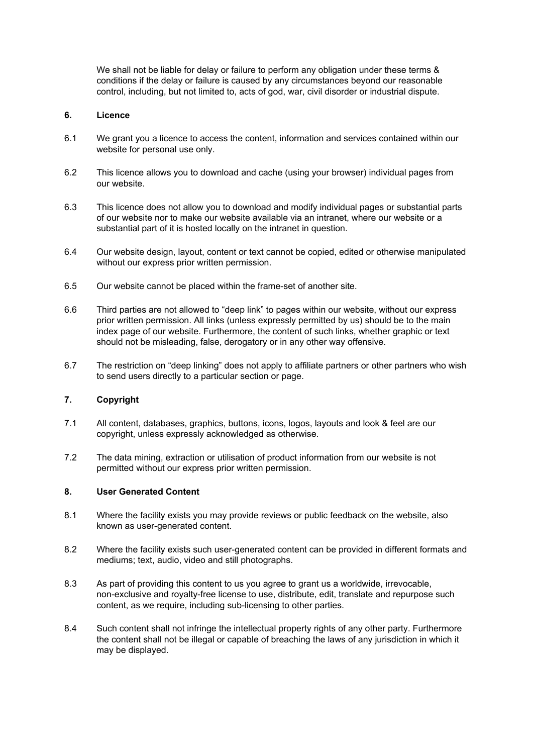We shall not be liable for delay or failure to perform any obligation under these terms & conditions if the delay or failure is caused by any circumstances beyond our reasonable control, including, but not limited to, acts of god, war, civil disorder or industrial dispute.

# **6. Licence**

- 6.1 We grant you a licence to access the content, information and services contained within our website for personal use only.
- 6.2 This licence allows you to download and cache (using your browser) individual pages from our website.
- 6.3 This licence does not allow you to download and modify individual pages or substantial parts of our website nor to make our website available via an intranet, where our website or a substantial part of it is hosted locally on the intranet in question.
- 6.4 Our website design, layout, content or text cannot be copied, edited or otherwise manipulated without our express prior written permission.
- 6.5 Our website cannot be placed within the frame-set of another site.
- 6.6 Third parties are not allowed to "deep link" to pages within our website, without our express prior written permission. All links (unless expressly permitted by us) should be to the main index page of our website. Furthermore, the content of such links, whether graphic or text should not be misleading, false, derogatory or in any other way offensive.
- 6.7 The restriction on "deep linking" does not apply to affiliate partners or other partners who wish to send users directly to a particular section or page.

## **7. Copyright**

- 7.1 All content, databases, graphics, buttons, icons, logos, layouts and look & feel are our copyright, unless expressly acknowledged as otherwise.
- 7.2 The data mining, extraction or utilisation of product information from our website is not permitted without our express prior written permission.

### **8. User Generated Content**

- 8.1 Where the facility exists you may provide reviews or public feedback on the website, also known as user-generated content.
- 8.2 Where the facility exists such user-generated content can be provided in different formats and mediums; text, audio, video and still photographs.
- 8.3 As part of providing this content to us you agree to grant us a worldwide, irrevocable, non-exclusive and royalty-free license to use, distribute, edit, translate and repurpose such content, as we require, including sub-licensing to other parties.
- 8.4 Such content shall not infringe the intellectual property rights of any other party. Furthermore the content shall not be illegal or capable of breaching the laws of any jurisdiction in which it may be displayed.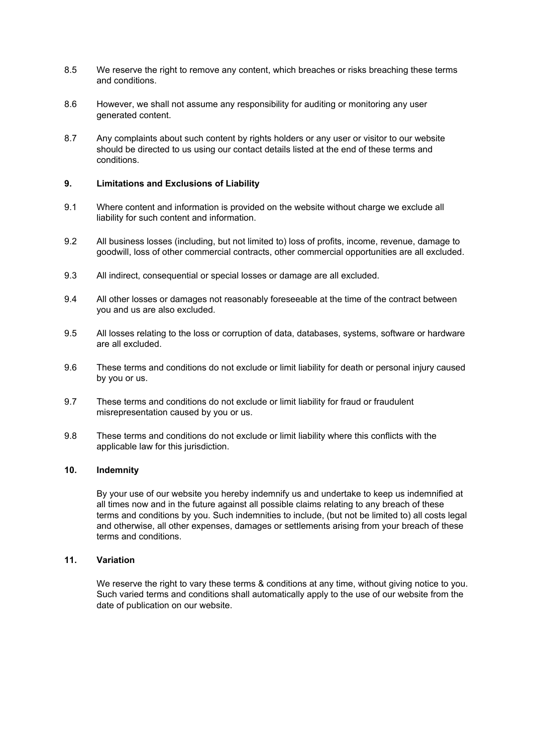- 8.5 We reserve the right to remove any content, which breaches or risks breaching these terms and conditions.
- 8.6 However, we shall not assume any responsibility for auditing or monitoring any user generated content.
- 8.7 Any complaints about such content by rights holders or any user or visitor to our website should be directed to us using our contact details listed at the end of these terms and conditions.

### **9. Limitations and Exclusions of Liability**

- 9.1 Where content and information is provided on the website without charge we exclude all liability for such content and information.
- 9.2 All business losses (including, but not limited to) loss of profits, income, revenue, damage to goodwill, loss of other commercial contracts, other commercial opportunities are all excluded.
- 9.3 All indirect, consequential or special losses or damage are all excluded.
- 9.4 All other losses or damages not reasonably foreseeable at the time of the contract between you and us are also excluded.
- 9.5 All losses relating to the loss or corruption of data, databases, systems, software or hardware are all excluded.
- 9.6 These terms and conditions do not exclude or limit liability for death or personal injury caused by you or us.
- 9.7 These terms and conditions do not exclude or limit liability for fraud or fraudulent misrepresentation caused by you or us.
- 9.8 These terms and conditions do not exclude or limit liability where this conflicts with the applicable law for this jurisdiction.

### **10. Indemnity**

By your use of our website you hereby indemnify us and undertake to keep us indemnified at all times now and in the future against all possible claims relating to any breach of these terms and conditions by you. Such indemnities to include, (but not be limited to) all costs legal and otherwise, all other expenses, damages or settlements arising from your breach of these terms and conditions.

#### **11. Variation**

We reserve the right to vary these terms & conditions at any time, without giving notice to you. Such varied terms and conditions shall automatically apply to the use of our website from the date of publication on our website.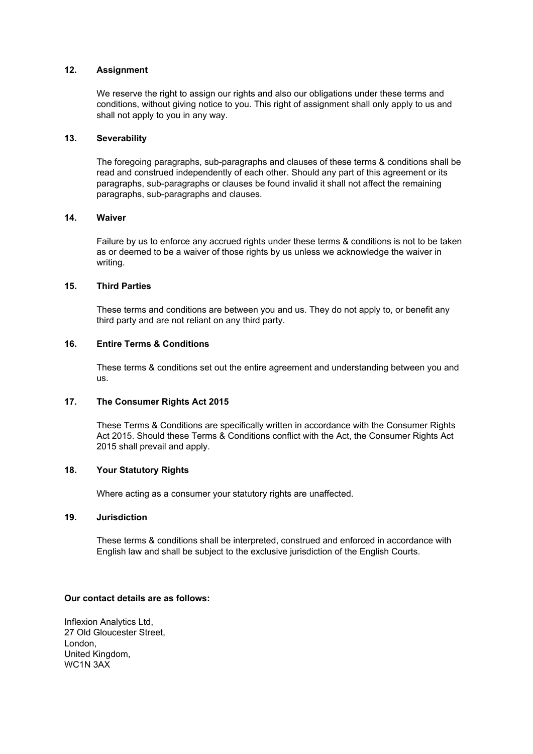### **12. Assignment**

We reserve the right to assign our rights and also our obligations under these terms and conditions, without giving notice to you. This right of assignment shall only apply to us and shall not apply to you in any way.

### **13. Severability**

The foregoing paragraphs, sub-paragraphs and clauses of these terms & conditions shall be read and construed independently of each other. Should any part of this agreement or its paragraphs, sub-paragraphs or clauses be found invalid it shall not affect the remaining paragraphs, sub-paragraphs and clauses.

# **14. Waiver**

Failure by us to enforce any accrued rights under these terms & conditions is not to be taken as or deemed to be a waiver of those rights by us unless we acknowledge the waiver in writing.

# **15. Third Parties**

These terms and conditions are between you and us. They do not apply to, or benefit any third party and are not reliant on any third party.

# **16. Entire Terms & Conditions**

These terms & conditions set out the entire agreement and understanding between you and us.

## **17. The Consumer Rights Act 2015**

These Terms & Conditions are specifically written in accordance with the Consumer Rights Act 2015. Should these Terms & Conditions conflict with the Act, the Consumer Rights Act 2015 shall prevail and apply.

#### **18. Your Statutory Rights**

Where acting as a consumer your statutory rights are unaffected.

### **19. Jurisdiction**

These terms & conditions shall be interpreted, construed and enforced in accordance with English law and shall be subject to the exclusive jurisdiction of the English Courts.

#### **Our contact details are as follows:**

Inflexion Analytics Ltd, 27 Old Gloucester Street, London, United Kingdom, WC1N 3AX